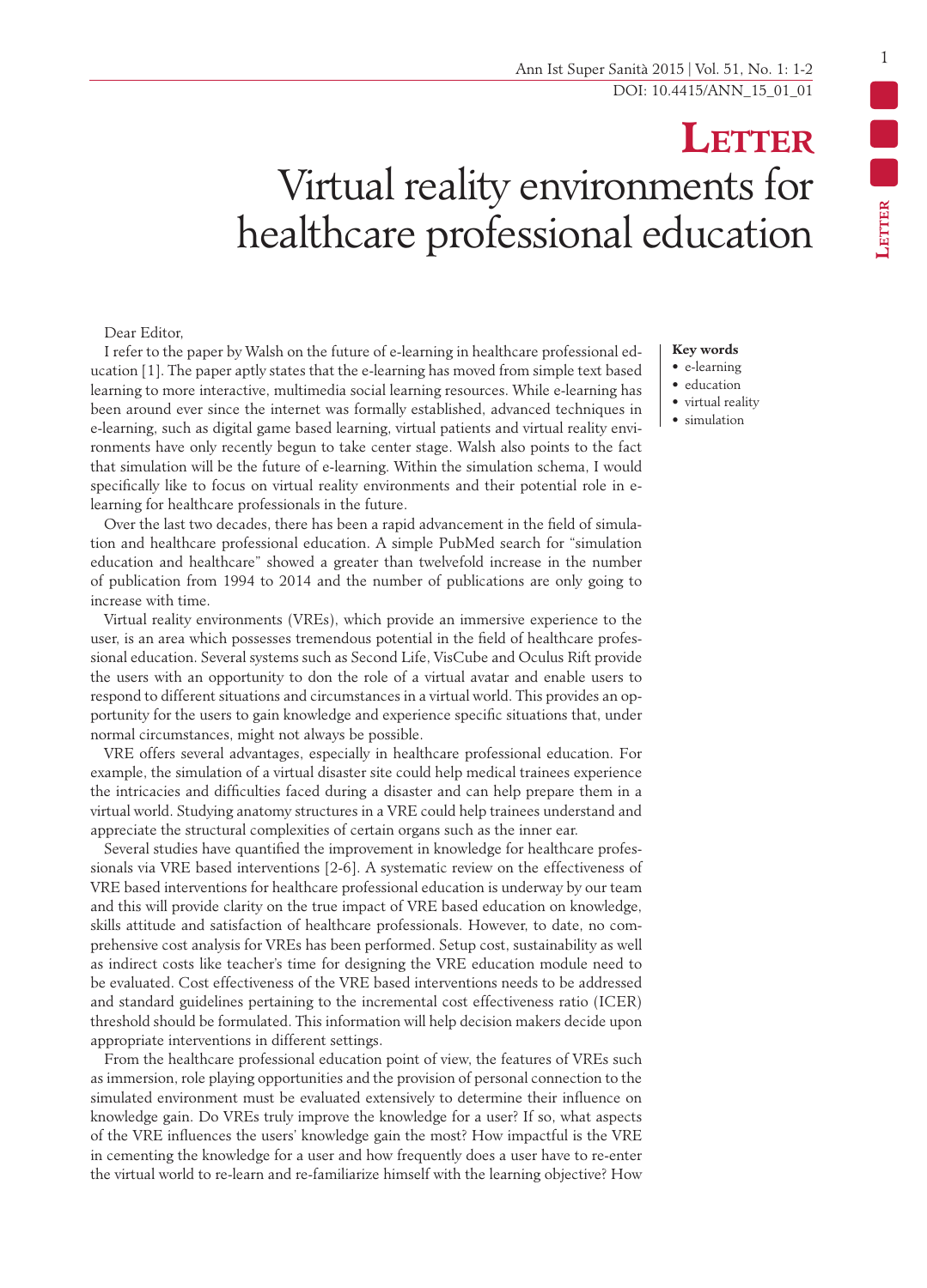## **Letter** Virtual reality environments for healthcare professional education

## Dear Editor,

I refer to the paper by Walsh on the future of e-learning in healthcare professional education [1]. The paper aptly states that the e-learning has moved from simple text based learning to more interactive, multimedia social learning resources. While e-learning has been around ever since the internet was formally established, advanced techniques in e-learning, such as digital game based learning, virtual patients and virtual reality environments have only recently begun to take center stage. Walsh also points to the fact that simulation will be the future of e-learning. Within the simulation schema, I would specifically like to focus on virtual reality environments and their potential role in elearning for healthcare professionals in the future.

Over the last two decades, there has been a rapid advancement in the field of simulation and healthcare professional education. A simple PubMed search for "simulation education and healthcare" showed a greater than twelvefold increase in the number of publication from 1994 to 2014 and the number of publications are only going to increase with time.

Virtual reality environments (VREs), which provide an immersive experience to the user, is an area which possesses tremendous potential in the field of healthcare professional education. Several systems such as Second Life, VisCube and Oculus Rift provide the users with an opportunity to don the role of a virtual avatar and enable users to respond to different situations and circumstances in a virtual world. This provides an opportunity for the users to gain knowledge and experience specific situations that, under normal circumstances, might not always be possible.

VRE offers several advantages, especially in healthcare professional education. For example, the simulation of a virtual disaster site could help medical trainees experience the intricacies and difficulties faced during a disaster and can help prepare them in a virtual world. Studying anatomy structures in a VRE could help trainees understand and appreciate the structural complexities of certain organs such as the inner ear.

Several studies have quantified the improvement in knowledge for healthcare professionals via VRE based interventions [2-6]. A systematic review on the effectiveness of VRE based interventions for healthcare professional education is underway by our team and this will provide clarity on the true impact of VRE based education on knowledge, skills attitude and satisfaction of healthcare professionals. However, to date, no comprehensive cost analysis for VREs has been performed. Setup cost, sustainability as well as indirect costs like teacher's time for designing the VRE education module need to be evaluated. Cost effectiveness of the VRE based interventions needs to be addressed and standard guidelines pertaining to the incremental cost effectiveness ratio (ICER) threshold should be formulated. This information will help decision makers decide upon appropriate interventions in different settings.

From the healthcare professional education point of view, the features of VREs such as immersion, role playing opportunities and the provision of personal connection to the simulated environment must be evaluated extensively to determine their influence on knowledge gain. Do VREs truly improve the knowledge for a user? If so, what aspects of the VRE influences the users' knowledge gain the most? How impactful is the VRE in cementing the knowledge for a user and how frequently does a user have to re-enter the virtual world to re-learn and re-familiarize himself with the learning objective? How

## **Key words**

- e-learning
- education
- virtual reality
- simulation